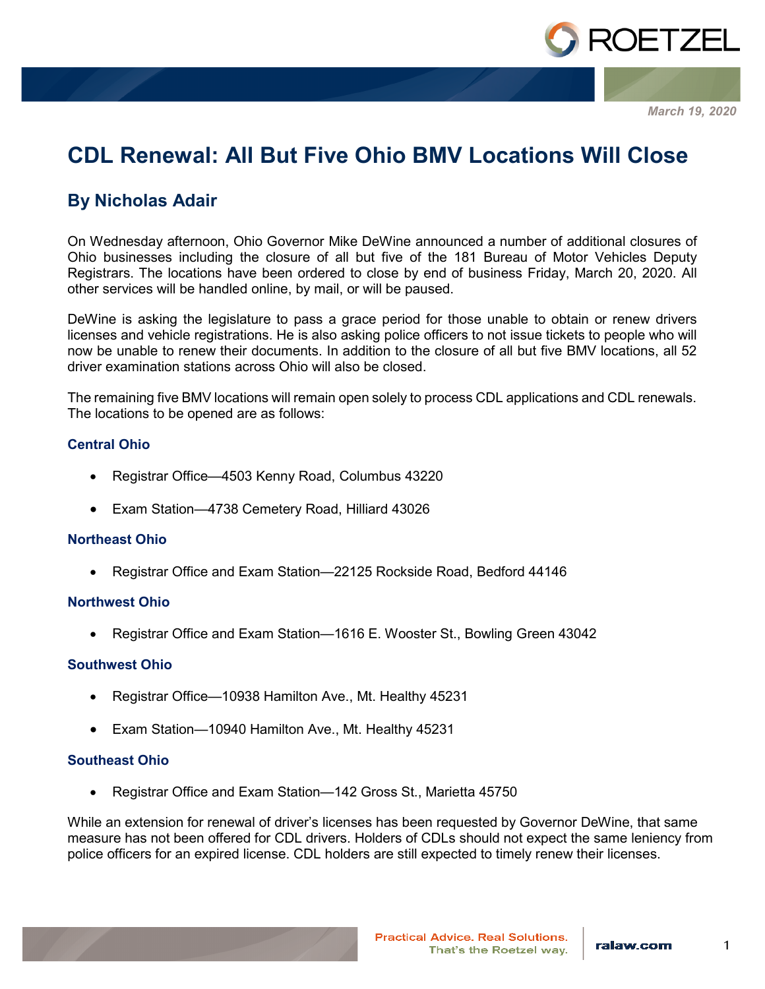

*March 19, 2020*

# **CDL Renewal: All But Five Ohio BMV Locations Will Close**

# **By Nicholas Adair**

On Wednesday afternoon, Ohio Governor Mike DeWine announced a number of additional closures of Ohio businesses including the closure of all but five of the 181 Bureau of Motor Vehicles Deputy Registrars. The locations have been ordered to close by end of business Friday, March 20, 2020. All other services will be handled online, by mail, or will be paused.

DeWine is asking the legislature to pass a grace period for those unable to obtain or renew drivers licenses and vehicle registrations. He is also asking police officers to not issue tickets to people who will now be unable to renew their documents. In addition to the closure of all but five BMV locations, all 52 driver examination stations across Ohio will also be closed.

The remaining five BMV locations will remain open solely to process CDL applications and CDL renewals. The locations to be opened are as follows:

## **Central Ohio**

- Registrar Office—4503 Kenny Road, Columbus 43220
- Exam Station—4738 Cemetery Road, Hilliard 43026

#### **Northeast Ohio**

• Registrar Office and Exam Station—22125 Rockside Road, Bedford 44146

#### **Northwest Ohio**

• Registrar Office and Exam Station—1616 E. Wooster St., Bowling Green 43042

#### **Southwest Ohio**

- Registrar Office—10938 Hamilton Ave., Mt. Healthy 45231
- Exam Station—10940 Hamilton Ave., Mt. Healthy 45231

#### **Southeast Ohio**

• Registrar Office and Exam Station—142 Gross St., Marietta 45750

While an extension for renewal of driver's licenses has been requested by Governor DeWine, that same measure has not been offered for CDL drivers. Holders of CDLs should not expect the same leniency from police officers for an expired license. CDL holders are still expected to timely renew their licenses.